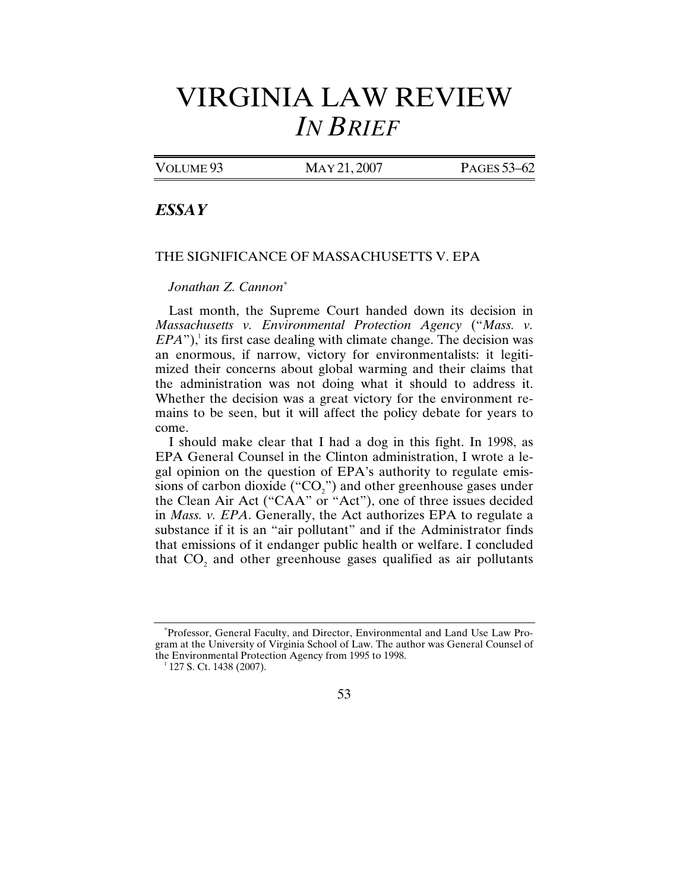## VIRGINIA LAW REVIEW *IN BRIEF*

VOLUME 93 MAY 21, 2007 PAGES 53-62

## *ESSAY*

## THE SIGNIFICANCE OF MASSACHUSETTS V. EPA

## *Jonathan Z. Cannon\**

Last month, the Supreme Court handed down its decision in *Massachusetts v. Environmental Protection Agency* ("*Mass. v.*   $EPA$ "),<sup>1</sup> its first case dealing with climate change. The decision was an enormous, if narrow, victory for environmentalists: it legitimized their concerns about global warming and their claims that the administration was not doing what it should to address it. Whether the decision was a great victory for the environment remains to be seen, but it will affect the policy debate for years to come.

I should make clear that I had a dog in this fight. In 1998, as EPA General Counsel in the Clinton administration, I wrote a legal opinion on the question of EPA's authority to regulate emissions of carbon dioxide (" $CO<sub>2</sub>$ ") and other greenhouse gases under the Clean Air Act ("CAA" or "Act"), one of three issues decided in *Mass. v. EPA*. Generally, the Act authorizes EPA to regulate a substance if it is an "air pollutant" and if the Administrator finds that emissions of it endanger public health or welfare. I concluded that  $CO<sub>2</sub>$  and other greenhouse gases qualified as air pollutants



<sup>\*</sup> Professor, General Faculty, and Director, Environmental and Land Use Law Program at the University of Virginia School of Law. The author was General Counsel of the Environmental Protection Agency from 1995 to 1998.

 $1$  127 S. Ct. 1438 (2007).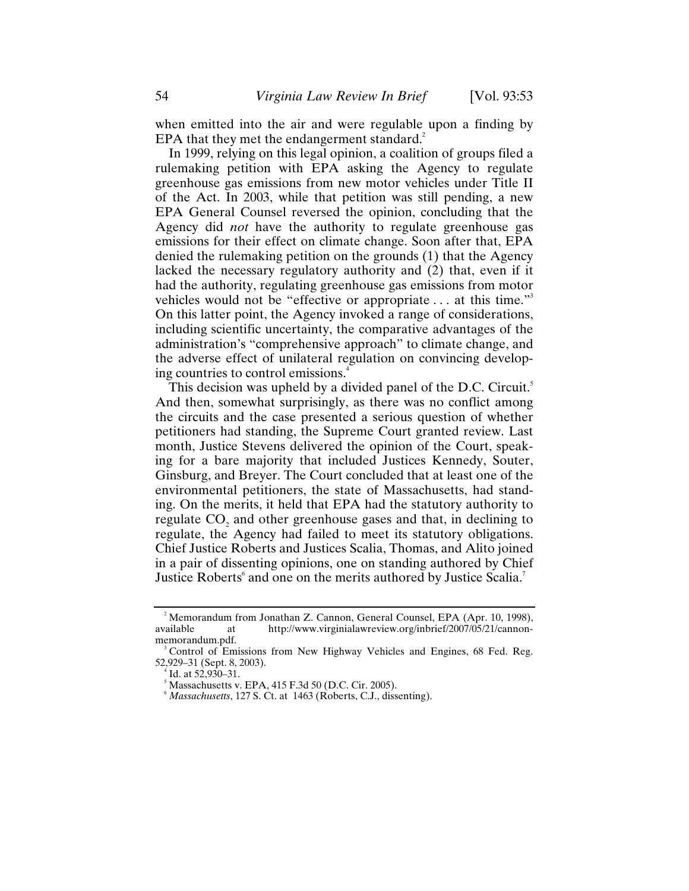when emitted into the air and were regulable upon a finding by EPA that they met the endangerment standard.<sup>2</sup>

In 1999, relying on this legal opinion, a coalition of groups filed a rulemaking petition with EPA asking the Agency to regulate greenhouse gas emissions from new motor vehicles under Title II of the Act. In 2003, while that petition was still pending, a new EPA General Counsel reversed the opinion, concluding that the Agency did *not* have the authority to regulate greenhouse gas emissions for their effect on climate change. Soon after that, EPA denied the rulemaking petition on the grounds (1) that the Agency lacked the necessary regulatory authority and (2) that, even if it had the authority, regulating greenhouse gas emissions from motor vehicles would not be "effective or appropriate . . . at this time."3 On this latter point, the Agency invoked a range of considerations, including scientific uncertainty, the comparative advantages of the administration's "comprehensive approach" to climate change, and the adverse effect of unilateral regulation on convincing developing countries to control emissions.4

This decision was upheld by a divided panel of the D.C. Circuit.<sup>5</sup> And then, somewhat surprisingly, as there was no conflict among the circuits and the case presented a serious question of whether petitioners had standing, the Supreme Court granted review. Last month, Justice Stevens delivered the opinion of the Court, speaking for a bare majority that included Justices Kennedy, Souter, Ginsburg, and Breyer. The Court concluded that at least one of the environmental petitioners, the state of Massachusetts, had standing. On the merits, it held that EPA had the statutory authority to regulate CO<sub>2</sub> and other greenhouse gases and that, in declining to regulate, the Agency had failed to meet its statutory obligations. Chief Justice Roberts and Justices Scalia, Thomas, and Alito joined in a pair of dissenting opinions, one on standing authored by Chief Justice Roberts<sup>6</sup> and one on the merits authored by Justice Scalia.<sup>7</sup>

<sup>&</sup>lt;sup>2</sup> Memorandum from Jonathan Z. Cannon, General Counsel, EPA (Apr. 10, 1998), available at http://www.virginialawreview.org/inbrief/2007/05/21/cannonmemorandum.pdf. 3

Control of Emissions from New Highway Vehicles and Engines, 68 Fed. Reg. 52,929–31 (Sept. 8, 2003).

 $4$  Id. at 52,930–31.

Massachusetts v. EPA, 415 F.3d 50 (D.C. Cir. 2005).

*Massachusetts*, 127 S. Ct. at 1463 (Roberts, C.J., dissenting).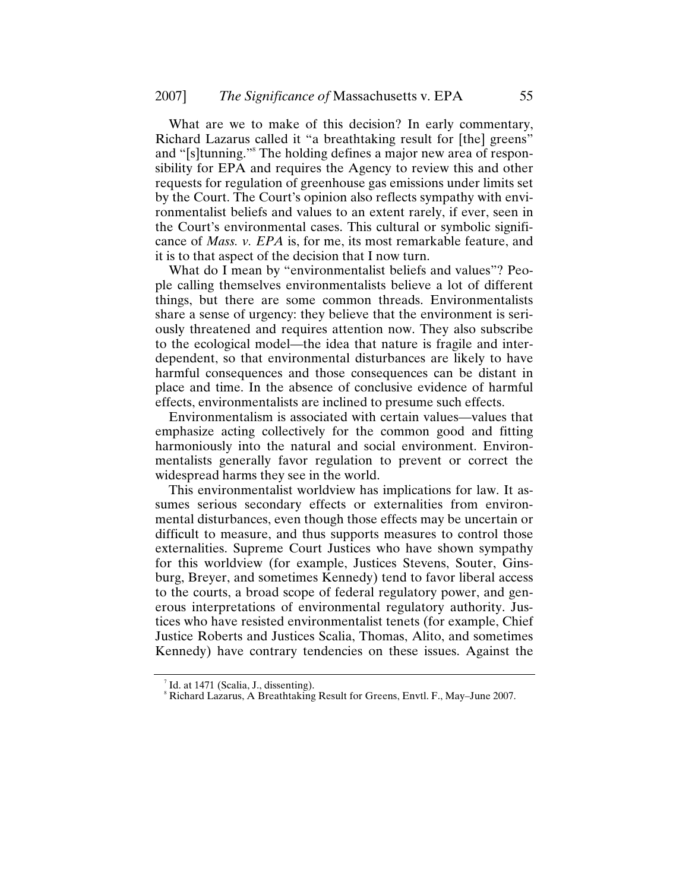What are we to make of this decision? In early commentary, Richard Lazarus called it "a breathtaking result for [the] greens" and "[s]tunning."8 The holding defines a major new area of responsibility for EPA and requires the Agency to review this and other requests for regulation of greenhouse gas emissions under limits set by the Court. The Court's opinion also reflects sympathy with environmentalist beliefs and values to an extent rarely, if ever, seen in the Court's environmental cases. This cultural or symbolic significance of *Mass. v. EPA* is, for me, its most remarkable feature, and it is to that aspect of the decision that I now turn.

What do I mean by "environmentalist beliefs and values"? People calling themselves environmentalists believe a lot of different things, but there are some common threads. Environmentalists share a sense of urgency: they believe that the environment is seriously threatened and requires attention now. They also subscribe to the ecological model—the idea that nature is fragile and interdependent, so that environmental disturbances are likely to have harmful consequences and those consequences can be distant in place and time. In the absence of conclusive evidence of harmful effects, environmentalists are inclined to presume such effects.

Environmentalism is associated with certain values—values that emphasize acting collectively for the common good and fitting harmoniously into the natural and social environment. Environmentalists generally favor regulation to prevent or correct the widespread harms they see in the world.

This environmentalist worldview has implications for law. It assumes serious secondary effects or externalities from environmental disturbances, even though those effects may be uncertain or difficult to measure, and thus supports measures to control those externalities. Supreme Court Justices who have shown sympathy for this worldview (for example, Justices Stevens, Souter, Ginsburg, Breyer, and sometimes Kennedy) tend to favor liberal access to the courts, a broad scope of federal regulatory power, and generous interpretations of environmental regulatory authority. Justices who have resisted environmentalist tenets (for example, Chief Justice Roberts and Justices Scalia, Thomas, Alito, and sometimes Kennedy) have contrary tendencies on these issues. Against the

<sup>&</sup>lt;sup>7</sup> Id. at 1471 (Scalia, J., dissenting).

<sup>8</sup> Richard Lazarus, A Breathtaking Result for Greens, Envtl. F., May–June 2007.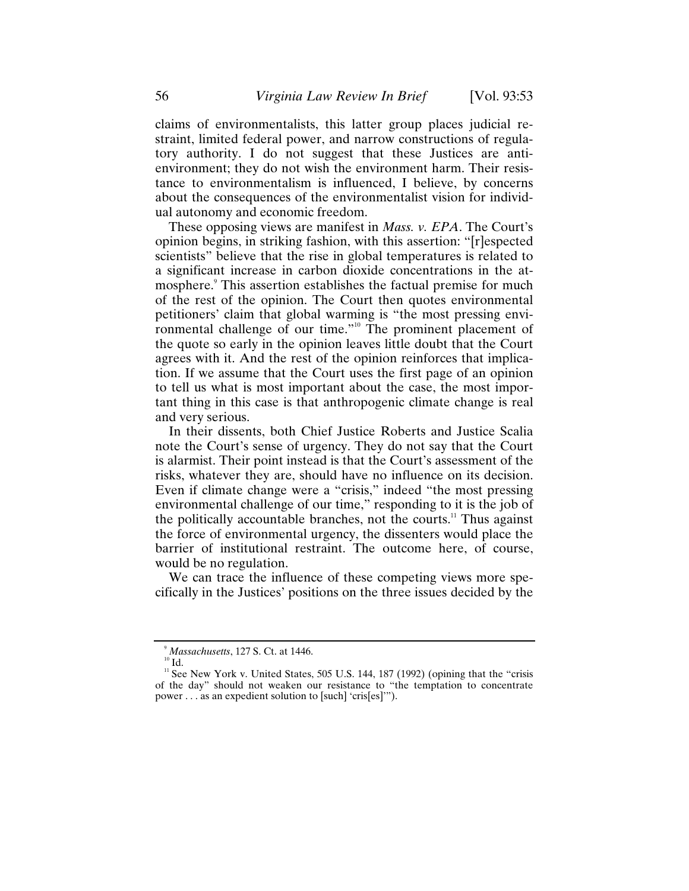claims of environmentalists, this latter group places judicial restraint, limited federal power, and narrow constructions of regulatory authority. I do not suggest that these Justices are antienvironment; they do not wish the environment harm. Their resistance to environmentalism is influenced, I believe, by concerns about the consequences of the environmentalist vision for individual autonomy and economic freedom.

These opposing views are manifest in *Mass. v. EPA*. The Court's opinion begins, in striking fashion, with this assertion: "[r]espected scientists" believe that the rise in global temperatures is related to a significant increase in carbon dioxide concentrations in the atmosphere.<sup>9</sup> This assertion establishes the factual premise for much of the rest of the opinion. The Court then quotes environmental petitioners' claim that global warming is "the most pressing environmental challenge of our time."10 The prominent placement of the quote so early in the opinion leaves little doubt that the Court agrees with it. And the rest of the opinion reinforces that implication. If we assume that the Court uses the first page of an opinion to tell us what is most important about the case, the most important thing in this case is that anthropogenic climate change is real and very serious.

In their dissents, both Chief Justice Roberts and Justice Scalia note the Court's sense of urgency. They do not say that the Court is alarmist. Their point instead is that the Court's assessment of the risks, whatever they are, should have no influence on its decision. Even if climate change were a "crisis," indeed "the most pressing environmental challenge of our time," responding to it is the job of the politically accountable branches, not the courts.<sup>11</sup> Thus against the force of environmental urgency, the dissenters would place the barrier of institutional restraint. The outcome here, of course, would be no regulation.

We can trace the influence of these competing views more specifically in the Justices' positions on the three issues decided by the

 $9$  Massachusetts, 127 S. Ct. at 1446.

*Massachusetts*, 10<br><sup>10</sup> Id. 11 See New York v. United States, 505 U.S. 144, 187 (1992) (opining that the "crisis" of the day" should not weaken our resistance to "the temptation to concentrate power . . . as an expedient solution to [such] 'cris[es]'").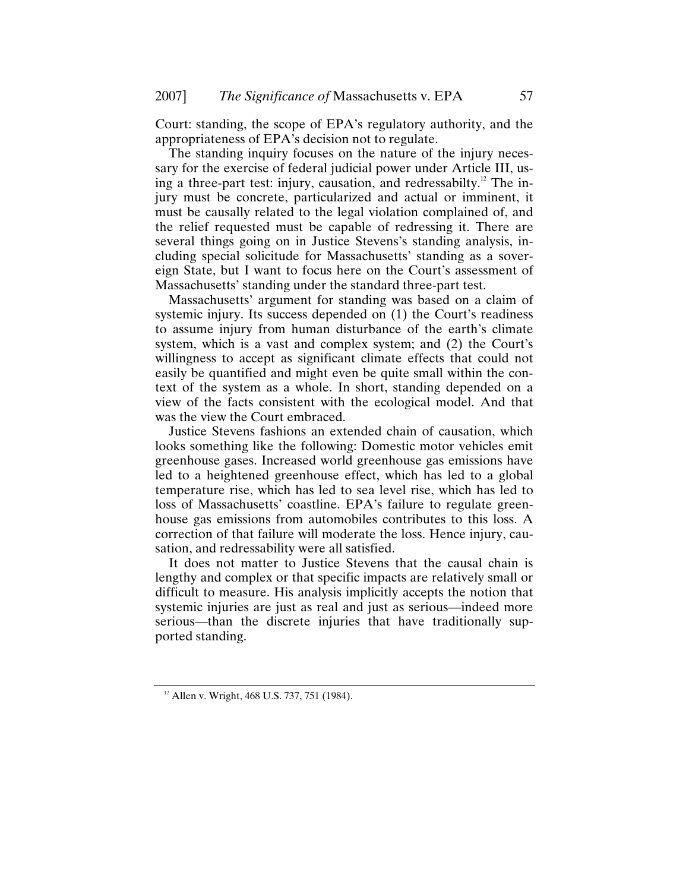Court: standing, the scope of EPA's regulatory authority, and the appropriateness of EPA's decision not to regulate.

The standing inquiry focuses on the nature of the injury necessary for the exercise of federal judicial power under Article III, using a three-part test: injury, causation, and redressabilty.<sup>12</sup> The injury must be concrete, particularized and actual or imminent, it must be causally related to the legal violation complained of, and the relief requested must be capable of redressing it. There are several things going on in Justice Stevens's standing analysis, including special solicitude for Massachusetts' standing as a sovereign State, but I want to focus here on the Court's assessment of Massachusetts' standing under the standard three-part test.

Massachusetts' argument for standing was based on a claim of systemic injury. Its success depended on (1) the Court's readiness to assume injury from human disturbance of the earth's climate system, which is a vast and complex system; and (2) the Court's willingness to accept as significant climate effects that could not easily be quantified and might even be quite small within the context of the system as a whole. In short, standing depended on a view of the facts consistent with the ecological model. And that was the view the Court embraced.

Justice Stevens fashions an extended chain of causation, which looks something like the following: Domestic motor vehicles emit greenhouse gases. Increased world greenhouse gas emissions have led to a heightened greenhouse effect, which has led to a global temperature rise, which has led to sea level rise, which has led to loss of Massachusetts' coastline. EPA's failure to regulate greenhouse gas emissions from automobiles contributes to this loss. A correction of that failure will moderate the loss. Hence injury, causation, and redressability were all satisfied.

It does not matter to Justice Stevens that the causal chain is lengthy and complex or that specific impacts are relatively small or difficult to measure. His analysis implicitly accepts the notion that systemic injuries are just as real and just as serious—indeed more serious—than the discrete injuries that have traditionally supported standing.

 $12$  Allen v. Wright, 468 U.S. 737, 751 (1984).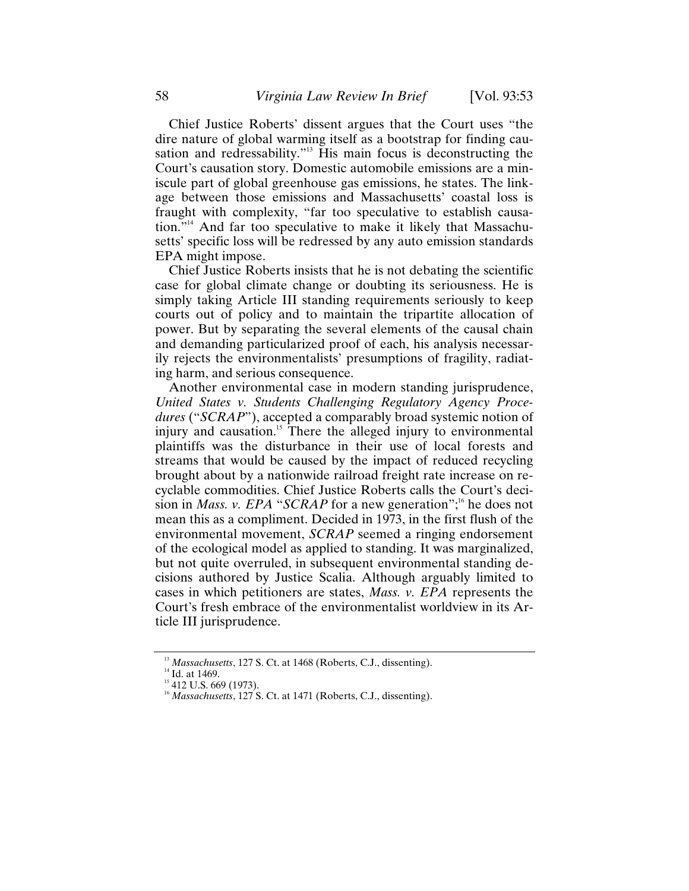Chief Justice Roberts' dissent argues that the Court uses "the dire nature of global warming itself as a bootstrap for finding causation and redressability."13 His main focus is deconstructing the Court's causation story. Domestic automobile emissions are a miniscule part of global greenhouse gas emissions, he states. The linkage between those emissions and Massachusetts' coastal loss is fraught with complexity, "far too speculative to establish causation."14 And far too speculative to make it likely that Massachusetts' specific loss will be redressed by any auto emission standards EPA might impose.

Chief Justice Roberts insists that he is not debating the scientific case for global climate change or doubting its seriousness. He is simply taking Article III standing requirements seriously to keep courts out of policy and to maintain the tripartite allocation of power. But by separating the several elements of the causal chain and demanding particularized proof of each, his analysis necessarily rejects the environmentalists' presumptions of fragility, radiating harm, and serious consequence.

Another environmental case in modern standing jurisprudence, *United States v. Students Challenging Regulatory Agency Procedures* ("*SCRAP*"), accepted a comparably broad systemic notion of injury and causation.<sup>15</sup> There the alleged injury to environmental plaintiffs was the disturbance in their use of local forests and streams that would be caused by the impact of reduced recycling brought about by a nationwide railroad freight rate increase on recyclable commodities. Chief Justice Roberts calls the Court's decision in *Mass. v. EPA* "*SCRAP* for a new generation";<sup>16</sup> he does not mean this as a compliment. Decided in 1973, in the first flush of the environmental movement, *SCRAP* seemed a ringing endorsement of the ecological model as applied to standing. It was marginalized, but not quite overruled, in subsequent environmental standing decisions authored by Justice Scalia. Although arguably limited to cases in which petitioners are states, *Mass. v. EPA* represents the Court's fresh embrace of the environmentalist worldview in its Article III jurisprudence.

<sup>&</sup>lt;sup>13</sup> *Massachusetts*, 127 S. Ct. at 1468 (Roberts, C.J., dissenting).<br><sup>14</sup> Id. at 1469.<br><sup>15</sup> 412 U.S. 669 (1973).<br><sup>16</sup> *Massachusetts*, 127 S. Ct. at 1471 (Roberts, C.J., dissenting).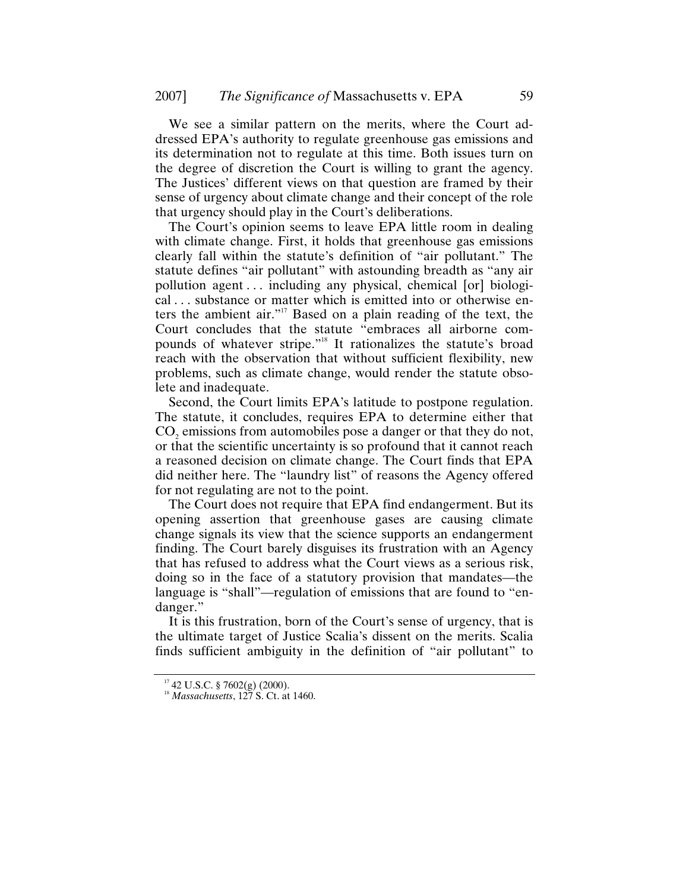We see a similar pattern on the merits, where the Court addressed EPA's authority to regulate greenhouse gas emissions and its determination not to regulate at this time. Both issues turn on the degree of discretion the Court is willing to grant the agency. The Justices' different views on that question are framed by their sense of urgency about climate change and their concept of the role that urgency should play in the Court's deliberations.

The Court's opinion seems to leave EPA little room in dealing with climate change. First, it holds that greenhouse gas emissions clearly fall within the statute's definition of "air pollutant." The statute defines "air pollutant" with astounding breadth as "any air pollution agent . . . including any physical, chemical [or] biological . . . substance or matter which is emitted into or otherwise enters the ambient air."17 Based on a plain reading of the text, the Court concludes that the statute "embraces all airborne compounds of whatever stripe."18 It rationalizes the statute's broad reach with the observation that without sufficient flexibility, new problems, such as climate change, would render the statute obsolete and inadequate.

Second, the Court limits EPA's latitude to postpone regulation. The statute, it concludes, requires EPA to determine either that CO<sub>2</sub> emissions from automobiles pose a danger or that they do not, or that the scientific uncertainty is so profound that it cannot reach a reasoned decision on climate change. The Court finds that EPA did neither here. The "laundry list" of reasons the Agency offered for not regulating are not to the point.

The Court does not require that EPA find endangerment. But its opening assertion that greenhouse gases are causing climate change signals its view that the science supports an endangerment finding. The Court barely disguises its frustration with an Agency that has refused to address what the Court views as a serious risk, doing so in the face of a statutory provision that mandates—the language is "shall"—regulation of emissions that are found to "endanger."

It is this frustration, born of the Court's sense of urgency, that is the ultimate target of Justice Scalia's dissent on the merits. Scalia finds sufficient ambiguity in the definition of "air pollutant" to

<sup>&</sup>lt;sup>17</sup> 42 U.S.C. § 7602(g) (2000).<br><sup>18</sup> *Massachusetts*, 127 S. Ct. at 1460.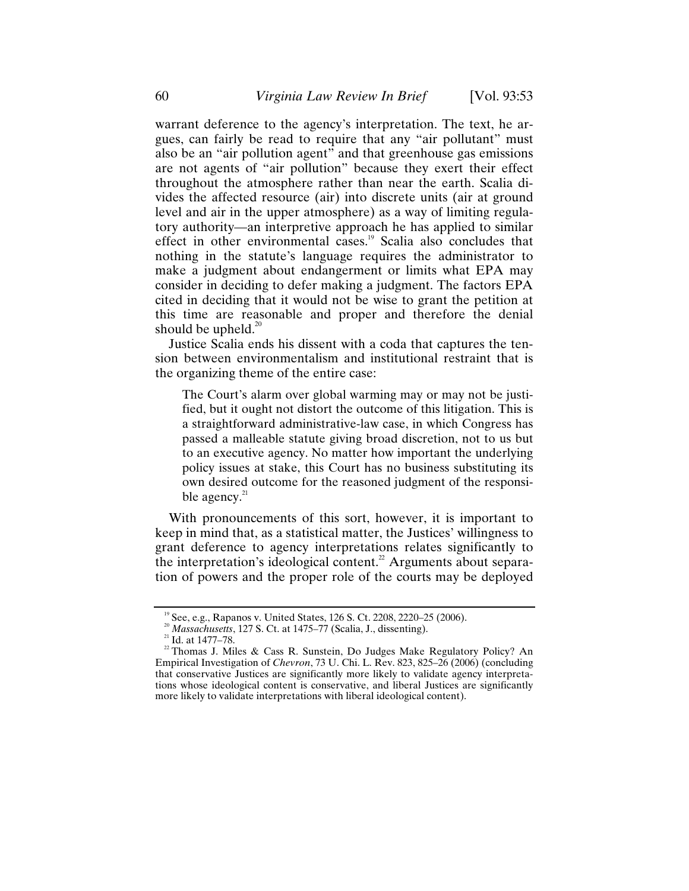warrant deference to the agency's interpretation. The text, he argues, can fairly be read to require that any "air pollutant" must also be an "air pollution agent" and that greenhouse gas emissions are not agents of "air pollution" because they exert their effect throughout the atmosphere rather than near the earth. Scalia divides the affected resource (air) into discrete units (air at ground level and air in the upper atmosphere) as a way of limiting regulatory authority—an interpretive approach he has applied to similar effect in other environmental cases.<sup>19</sup> Scalia also concludes that nothing in the statute's language requires the administrator to make a judgment about endangerment or limits what EPA may consider in deciding to defer making a judgment. The factors EPA cited in deciding that it would not be wise to grant the petition at this time are reasonable and proper and therefore the denial should be upheld. $^{20}$ 

Justice Scalia ends his dissent with a coda that captures the tension between environmentalism and institutional restraint that is the organizing theme of the entire case:

The Court's alarm over global warming may or may not be justified, but it ought not distort the outcome of this litigation. This is a straightforward administrative-law case, in which Congress has passed a malleable statute giving broad discretion, not to us but to an executive agency. No matter how important the underlying policy issues at stake, this Court has no business substituting its own desired outcome for the reasoned judgment of the responsible agency. $^{21}$ 

With pronouncements of this sort, however, it is important to keep in mind that, as a statistical matter, the Justices' willingness to grant deference to agency interpretations relates significantly to the interpretation's ideological content.<sup>22</sup> Arguments about separation of powers and the proper role of the courts may be deployed

<sup>&</sup>lt;sup>19</sup> See, e.g., Rapanos v. United States, 126 S. Ct. 2208, 2220–25 (2006).<br><sup>20</sup> *Massachusetts*, 127 S. Ct. at 1475–77 (Scalia, J., dissenting).<br><sup>21</sup> Id. at 1477–78.<br><sup>22</sup> Thomas J. Miles & Cass R. Sunstein, Do Judges Make Empirical Investigation of *Chevron*, 73 U. Chi. L. Rev. 823, 825–26 (2006) (concluding that conservative Justices are significantly more likely to validate agency interpretations whose ideological content is conservative, and liberal Justices are significantly more likely to validate interpretations with liberal ideological content).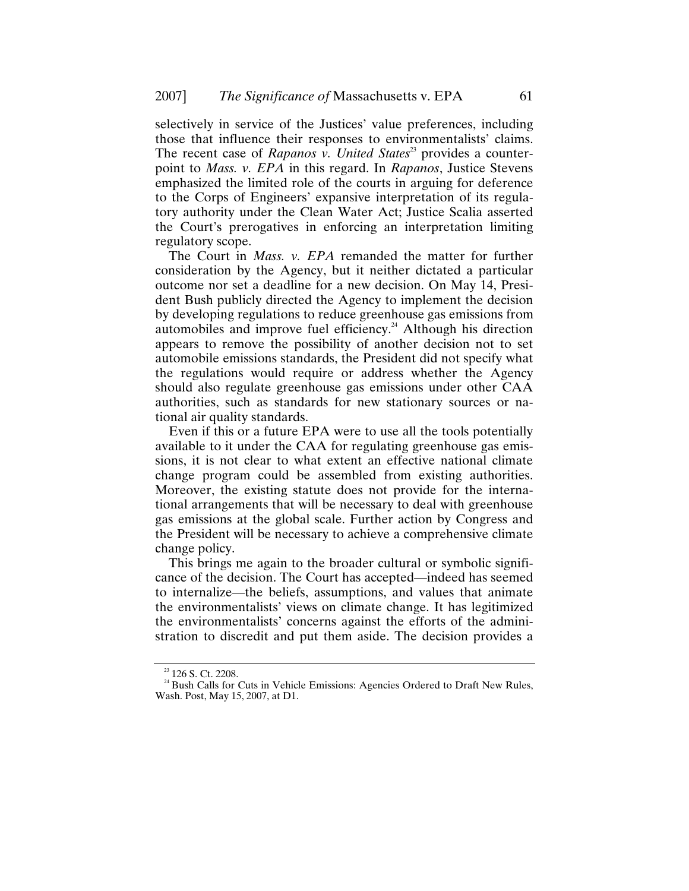selectively in service of the Justices' value preferences, including those that influence their responses to environmentalists' claims. The recent case of *Rapanos v. United States*<sup>23</sup> provides a counterpoint to *Mass. v. EPA* in this regard. In *Rapanos*, Justice Stevens emphasized the limited role of the courts in arguing for deference to the Corps of Engineers' expansive interpretation of its regulatory authority under the Clean Water Act; Justice Scalia asserted the Court's prerogatives in enforcing an interpretation limiting regulatory scope.

The Court in *Mass. v. EPA* remanded the matter for further consideration by the Agency, but it neither dictated a particular outcome nor set a deadline for a new decision. On May 14, President Bush publicly directed the Agency to implement the decision by developing regulations to reduce greenhouse gas emissions from automobiles and improve fuel efficiency.<sup>24</sup> Although his direction appears to remove the possibility of another decision not to set automobile emissions standards, the President did not specify what the regulations would require or address whether the Agency should also regulate greenhouse gas emissions under other CAA authorities, such as standards for new stationary sources or national air quality standards.

Even if this or a future EPA were to use all the tools potentially available to it under the CAA for regulating greenhouse gas emissions, it is not clear to what extent an effective national climate change program could be assembled from existing authorities. Moreover, the existing statute does not provide for the international arrangements that will be necessary to deal with greenhouse gas emissions at the global scale. Further action by Congress and the President will be necessary to achieve a comprehensive climate change policy.

This brings me again to the broader cultural or symbolic significance of the decision. The Court has accepted—indeed has seemed to internalize—the beliefs, assumptions, and values that animate the environmentalists' views on climate change. It has legitimized the environmentalists' concerns against the efforts of the administration to discredit and put them aside. The decision provides a

 $23/24$  Bush Calls for Cuts in Vehicle Emissions: Agencies Ordered to Draft New Rules, Wash. Post, May 15, 2007, at D1.